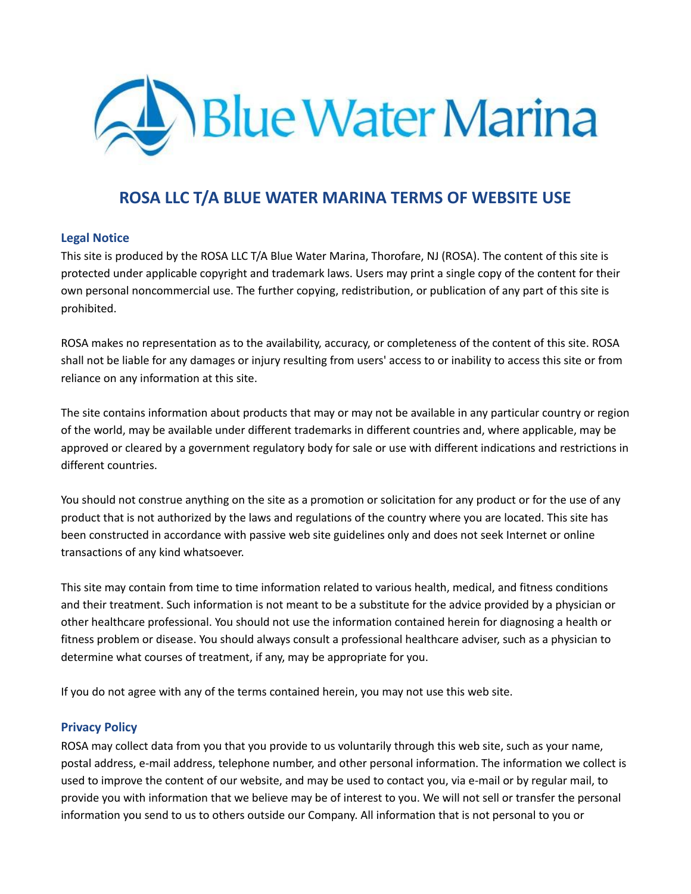

# **ROSA LLC T/A BLUE WATER MARINA TERMS OF WEBSITE USE**

## **Legal Notice**

This site is produced by the ROSA LLC T/A Blue Water Marina, Thorofare, NJ (ROSA). The content of this site is protected under applicable copyright and trademark laws. Users may print a single copy of the content for their own personal noncommercial use. The further copying, redistribution, or publication of any part of this site is prohibited.

ROSA makes no representation as to the availability, accuracy, or completeness of the content of this site. ROSA shall not be liable for any damages or injury resulting from users' access to or inability to access this site or from reliance on any information at this site.

The site contains information about products that may or may not be available in any particular country or region of the world, may be available under different trademarks in different countries and, where applicable, may be approved or cleared by a government regulatory body for sale or use with different indications and restrictions in different countries.

You should not construe anything on the site as a promotion or solicitation for any product or for the use of any product that is not authorized by the laws and regulations of the country where you are located. This site has been constructed in accordance with passive web site guidelines only and does not seek Internet or online transactions of any kind whatsoever.

This site may contain from time to time information related to various health, medical, and fitness conditions and their treatment. Such information is not meant to be a substitute for the advice provided by a physician or other healthcare professional. You should not use the information contained herein for diagnosing a health or fitness problem or disease. You should always consult a professional healthcare adviser, such as a physician to determine what courses of treatment, if any, may be appropriate for you.

If you do not agree with any of the terms contained herein, you may not use this web site.

## **Privacy Policy**

ROSA may collect data from you that you provide to us voluntarily through this web site, such as your name, postal address, e-mail address, telephone number, and other personal information. The information we collect is used to improve the content of our website, and may be used to contact you, via e-mail or by regular mail, to provide you with information that we believe may be of interest to you. We will not sell or transfer the personal information you send to us to others outside our Company. All information that is not personal to you or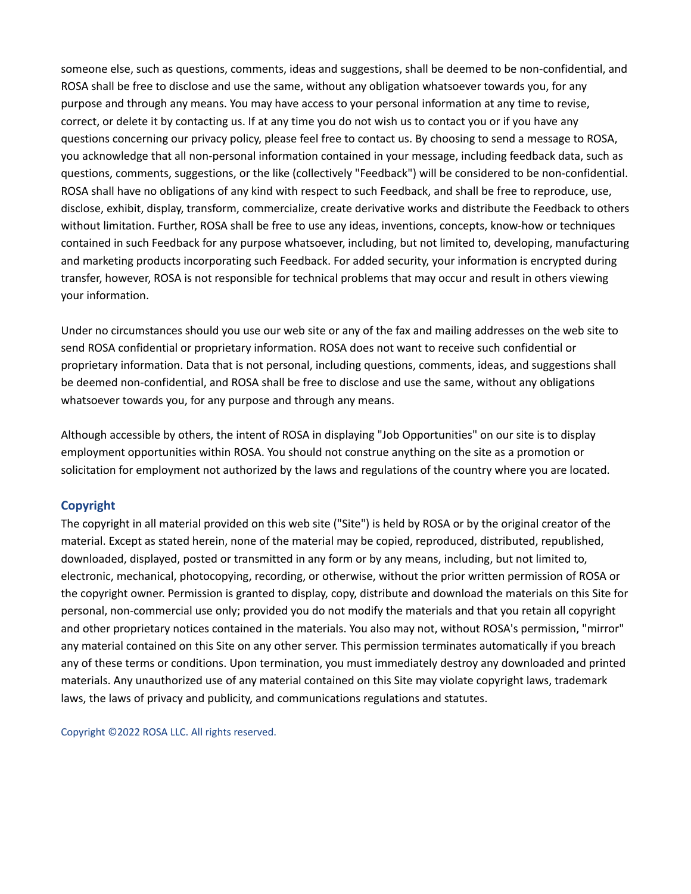someone else, such as questions, comments, ideas and suggestions, shall be deemed to be non-confidential, and ROSA shall be free to disclose and use the same, without any obligation whatsoever towards you, for any purpose and through any means. You may have access to your personal information at any time to revise, correct, or delete it by contacting us. If at any time you do not wish us to contact you or if you have any questions concerning our privacy policy, please feel free to contact us. By choosing to send a message to ROSA, you acknowledge that all non-personal information contained in your message, including feedback data, such as questions, comments, suggestions, or the like (collectively "Feedback") will be considered to be non-confidential. ROSA shall have no obligations of any kind with respect to such Feedback, and shall be free to reproduce, use, disclose, exhibit, display, transform, commercialize, create derivative works and distribute the Feedback to others without limitation. Further, ROSA shall be free to use any ideas, inventions, concepts, know-how or techniques contained in such Feedback for any purpose whatsoever, including, but not limited to, developing, manufacturing and marketing products incorporating such Feedback. For added security, your information is encrypted during transfer, however, ROSA is not responsible for technical problems that may occur and result in others viewing your information.

Under no circumstances should you use our web site or any of the fax and mailing addresses on the web site to send ROSA confidential or proprietary information. ROSA does not want to receive such confidential or proprietary information. Data that is not personal, including questions, comments, ideas, and suggestions shall be deemed non-confidential, and ROSA shall be free to disclose and use the same, without any obligations whatsoever towards you, for any purpose and through any means.

Although accessible by others, the intent of ROSA in displaying "Job Opportunities" on our site is to display employment opportunities within ROSA. You should not construe anything on the site as a promotion or solicitation for employment not authorized by the laws and regulations of the country where you are located.

## **Copyright**

The copyright in all material provided on this web site ("Site") is held by ROSA or by the original creator of the material. Except as stated herein, none of the material may be copied, reproduced, distributed, republished, downloaded, displayed, posted or transmitted in any form or by any means, including, but not limited to, electronic, mechanical, photocopying, recording, or otherwise, without the prior written permission of ROSA or the copyright owner. Permission is granted to display, copy, distribute and download the materials on this Site for personal, non-commercial use only; provided you do not modify the materials and that you retain all copyright and other proprietary notices contained in the materials. You also may not, without ROSA's permission, "mirror" any material contained on this Site on any other server. This permission terminates automatically if you breach any of these terms or conditions. Upon termination, you must immediately destroy any downloaded and printed materials. Any unauthorized use of any material contained on this Site may violate copyright laws, trademark laws, the laws of privacy and publicity, and communications regulations and statutes.

Copyright ©2022 ROSA LLC. All rights reserved.